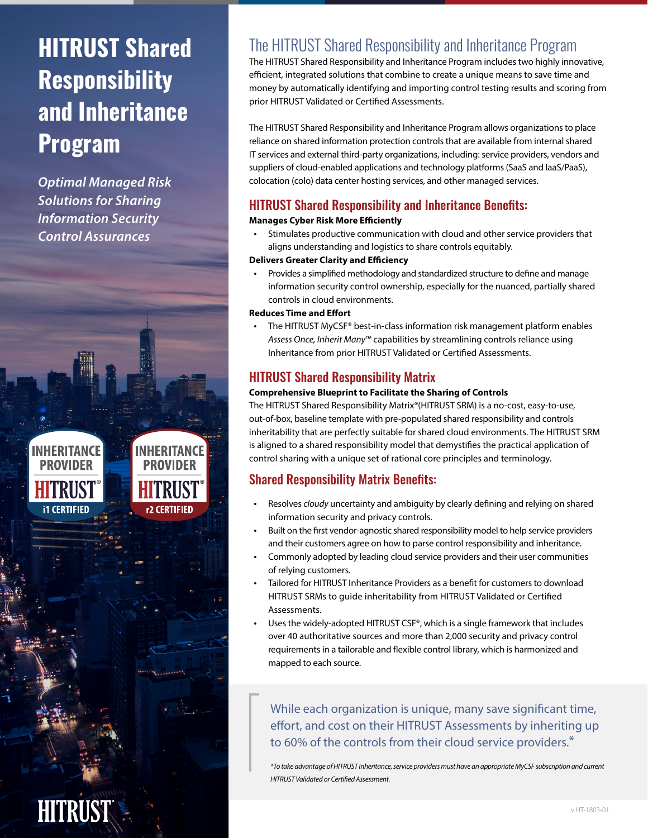# **HITRUST Shared Responsibility and Inheritance Program**

*Optimal Managed Risk Solutions for Sharing Information Security Control Assurances*



INHFRITANCF **PROVIDER** r2 CERTIFIED

# The HITRUST Shared Responsibility and Inheritance Program

The HITRUST Shared Responsibility and Inheritance Program includes two highly innovative, efficient, integrated solutions that combine to create a unique means to save time and money by automatically identifying and importing control testing results and scoring from prior HITRUST Validated or Certified Assessments.

The HITRUST Shared Responsibility and Inheritance Program allows organizations to place reliance on shared information protection controls that are available from internal shared IT services and external third-party organizations, including: service providers, vendors and suppliers of cloud-enabled applications and technology platforms (SaaS and IaaS/PaaS), colocation (colo) data center hosting services, and other managed services.

# HITRUST Shared Responsibility and Inheritance Benefits:

### **Manages Cyber Risk More Efficiently**

Stimulates productive communication with cloud and other service providers that aligns understanding and logistics to share controls equitably.

#### **Delivers Greater Clarity and Efficiency**

• Provides a simplified methodology and standardized structure to define and manage information security control ownership, especially for the nuanced, partially shared controls in cloud environments.

#### **Reduces Time and Effort**

• The HITRUST MyCSF® best-in-class information risk management platform enables *Assess Once, Inherit Many*™ capabilities by streamlining controls reliance using Inheritance from prior HITRUST Validated or Certified Assessments.

## HITRUST Shared Responsibility Matrix

### **Comprehensive Blueprint to Facilitate the Sharing of Controls**

The HITRUST Shared Responsibility Matrix®(HITRUST SRM) is a no-cost, easy-to-use, out-of-box, baseline template with pre-populated shared responsibility and controls inheritability that are perfectly suitable for shared cloud environments. The HITRUST SRM is aligned to a shared responsibility model that demystifies the practical application of control sharing with a unique set of rational core principles and terminology.

# Shared Responsibility Matrix Benefits:

- Resolves *cloudy* uncertainty and ambiguity by clearly defining and relying on shared information security and privacy controls.
- Built on the first vendor-agnostic shared responsibility model to help service providers and their customers agree on how to parse control responsibility and inheritance.
- Commonly adopted by leading cloud service providers and their user communities of relying customers.
- Tailored for HITRUST Inheritance Providers as a benefit for customers to download HITRUST SRMs to guide inheritability from HITRUST Validated or Certified Assessments.
- Uses the widely-adopted HITRUST CSF®, which is a single framework that includes over 40 authoritative sources and more than 2,000 security and privacy control requirements in a tailorable and flexible control library, which is harmonized and mapped to each source.

While each organization is unique, many save significant time, effort, and cost on their HITRUST Assessments by inheriting up to 60% of the controls from their cloud service providers.\*

*\*To take advantage of HITRUST Inheritance, service providers must have an appropriate MyCSF subscription and current HITRUST Validated or Certified Assessment.*